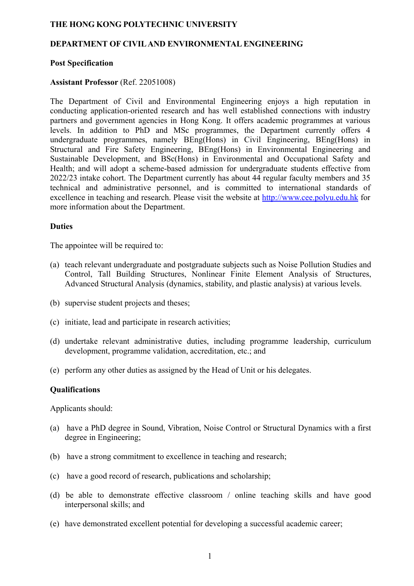## **THE HONG KONG POLYTECHNIC UNIVERSITY**

## **DEPARTMENT OF CIVIL AND ENVIRONMENTAL ENGINEERING**

#### **Post Specification**

#### **Assistant Professor** (Ref. 22051008)

The Department of Civil and Environmental Engineering enjoys a high reputation in conducting application-oriented research and has well established connections with industry partners and government agencies in Hong Kong. It offers academic programmes at various levels. In addition to PhD and MSc programmes, the Department currently offers 4 undergraduate programmes, namely BEng(Hons) in Civil Engineering, BEng(Hons) in Structural and Fire Safety Engineering, BEng(Hons) in Environmental Engineering and Sustainable Development, and BSc(Hons) in Environmental and Occupational Safety and Health; and will adopt a scheme-based admission for undergraduate students effective from 2022/23 intake cohort. The Department currently has about 44 regular faculty members and 35 technical and administrative personnel, and is committed to international standards of excellence in teaching and research. Please visit the website at http://www.cee.polyu.edu.hk for more information about the Department.

#### **Duties**

The appointee will be required to:

- (a) teach relevant undergraduate and postgraduate subjects such as Noise Pollution Studies and Control, Tall Building Structures, Nonlinear Finite Element Analysis of Structures, Advanced Structural Analysis (dynamics, stability, and plastic analysis) at various levels.
- (b) supervise student projects and theses;
- (c) initiate, lead and participate in research activities;
- (d) undertake relevant administrative duties, including programme leadership, curriculum development, programme validation, accreditation, etc.; and
- (e) perform any other duties as assigned by the Head of Unit or his delegates.

#### **Qualifications**

Applicants should:

- (a) have a PhD degree in Sound, Vibration, Noise Control or Structural Dynamics with a first degree in Engineering;
- (b) have a strong commitment to excellence in teaching and research;
- (c) have a good record of research, publications and scholarship;
- (d) be able to demonstrate effective classroom / online teaching skills and have good interpersonal skills; and
- (e) have demonstrated excellent potential for developing a successful academic career;